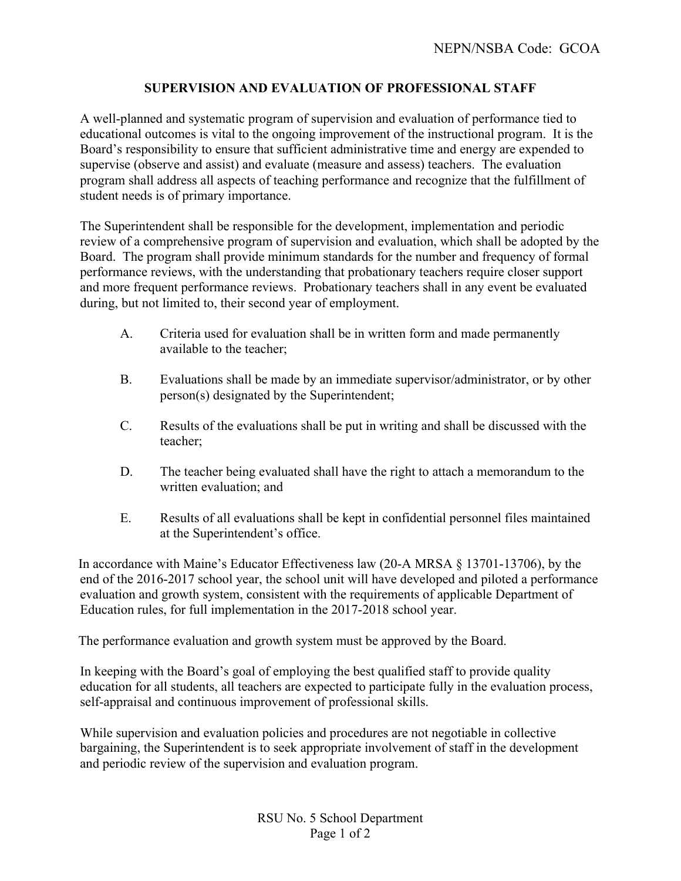## **SUPERVISION AND EVALUATION OF PROFESSIONAL STAFF**

A well-planned and systematic program of supervision and evaluation of performance tied to educational outcomes is vital to the ongoing improvement of the instructional program. It is the Board's responsibility to ensure that sufficient administrative time and energy are expended to supervise (observe and assist) and evaluate (measure and assess) teachers. The evaluation program shall address all aspects of teaching performance and recognize that the fulfillment of student needs is of primary importance.

The Superintendent shall be responsible for the development, implementation and periodic review of a comprehensive program of supervision and evaluation, which shall be adopted by the Board. The program shall provide minimum standards for the number and frequency of formal performance reviews, with the understanding that probationary teachers require closer support and more frequent performance reviews. Probationary teachers shall in any event be evaluated during, but not limited to, their second year of employment.

- A. Criteria used for evaluation shall be in written form and made permanently available to the teacher;
- B. Evaluations shall be made by an immediate supervisor/administrator, or by other person(s) designated by the Superintendent;
- C. Results of the evaluations shall be put in writing and shall be discussed with the teacher;
- D. The teacher being evaluated shall have the right to attach a memorandum to the written evaluation; and
- E. Results of all evaluations shall be kept in confidential personnel files maintained at the Superintendent's office.

In accordance with Maine's Educator Effectiveness law (20-A MRSA § 13701-13706), by the end of the 2016-2017 school year, the school unit will have developed and piloted a performance evaluation and growth system, consistent with the requirements of applicable Department of Education rules, for full implementation in the 2017-2018 school year.

The performance evaluation and growth system must be approved by the Board.

In keeping with the Board's goal of employing the best qualified staff to provide quality education for all students, all teachers are expected to participate fully in the evaluation process, self-appraisal and continuous improvement of professional skills.

While supervision and evaluation policies and procedures are not negotiable in collective bargaining, the Superintendent is to seek appropriate involvement of staff in the development and periodic review of the supervision and evaluation program.